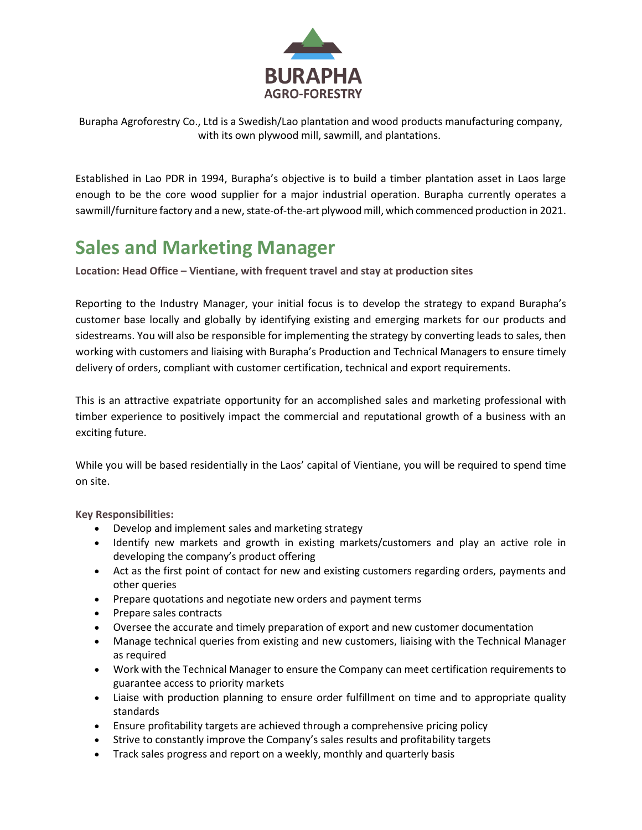

Burapha Agroforestry Co., Ltd is a Swedish/Lao plantation and wood products manufacturing company, with its own plywood mill, sawmill, and plantations.

Established in Lao PDR in 1994, Burapha's objective is to build a timber plantation asset in Laos large enough to be the core wood supplier for a major industrial operation. Burapha currently operates a sawmill/furniture factory and a new, state-of-the-art plywood mill, which commenced production in 2021.

## **Sales and Marketing Manager**

**Location: Head Office – Vientiane, with frequent travel and stay at production sites**

Reporting to the Industry Manager, your initial focus is to develop the strategy to expand Burapha's customer base locally and globally by identifying existing and emerging markets for our products and sidestreams. You will also be responsible for implementing the strategy by converting leads to sales, then working with customers and liaising with Burapha's Production and Technical Managers to ensure timely delivery of orders, compliant with customer certification, technical and export requirements.

This is an attractive expatriate opportunity for an accomplished sales and marketing professional with timber experience to positively impact the commercial and reputational growth of a business with an exciting future.

While you will be based residentially in the Laos' capital of Vientiane, you will be required to spend time on site.

**Key Responsibilities:**

- Develop and implement sales and marketing strategy
- Identify new markets and growth in existing markets/customers and play an active role in developing the company's product offering
- Act as the first point of contact for new and existing customers regarding orders, payments and other queries
- Prepare quotations and negotiate new orders and payment terms
- Prepare sales contracts
- Oversee the accurate and timely preparation of export and new customer documentation
- Manage technical queries from existing and new customers, liaising with the Technical Manager as required
- Work with the Technical Manager to ensure the Company can meet certification requirements to guarantee access to priority markets
- Liaise with production planning to ensure order fulfillment on time and to appropriate quality standards
- Ensure profitability targets are achieved through a comprehensive pricing policy
- Strive to constantly improve the Company's sales results and profitability targets
- Track sales progress and report on a weekly, monthly and quarterly basis